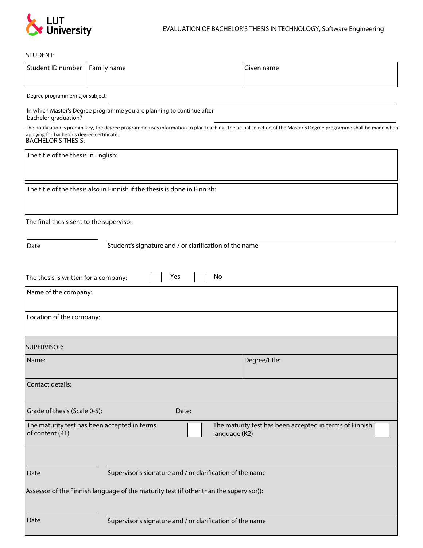

## STUDENT:

| Student ID number                                                                                                                                                                                                                             | Family name                                               | Given name                                                               |
|-----------------------------------------------------------------------------------------------------------------------------------------------------------------------------------------------------------------------------------------------|-----------------------------------------------------------|--------------------------------------------------------------------------|
| Degree programme/major subject:                                                                                                                                                                                                               |                                                           |                                                                          |
| In which Master's Degree programme you are planning to continue after<br>bachelor graduation?                                                                                                                                                 |                                                           |                                                                          |
| The notification is preminilary, the degree programme uses information to plan teaching. The actual selection of the Master's Degree programme shall be made when<br>applying for bachelor's degree certificate.<br><b>BACHELOR'S THESIS:</b> |                                                           |                                                                          |
| The title of the thesis in English:                                                                                                                                                                                                           |                                                           |                                                                          |
| The title of the thesis also in Finnish if the thesis is done in Finnish:                                                                                                                                                                     |                                                           |                                                                          |
| The final thesis sent to the supervisor:                                                                                                                                                                                                      |                                                           |                                                                          |
| Student's signature and / or clarification of the name<br>Date                                                                                                                                                                                |                                                           |                                                                          |
| Yes<br>No<br>The thesis is written for a company:                                                                                                                                                                                             |                                                           |                                                                          |
| Name of the company:                                                                                                                                                                                                                          |                                                           |                                                                          |
| Location of the company:                                                                                                                                                                                                                      |                                                           |                                                                          |
| <b>SUPERVISOR:</b>                                                                                                                                                                                                                            |                                                           |                                                                          |
| Name:                                                                                                                                                                                                                                         |                                                           | Degree/title:                                                            |
| Contact details:                                                                                                                                                                                                                              |                                                           |                                                                          |
| Grade of thesis (Scale 0-5):                                                                                                                                                                                                                  | Date:                                                     |                                                                          |
| of content (K1)                                                                                                                                                                                                                               | The maturity test has been accepted in terms              | The maturity test has been accepted in terms of Finnish<br>language (K2) |
|                                                                                                                                                                                                                                               |                                                           |                                                                          |
| Date                                                                                                                                                                                                                                          | Supervisor's signature and / or clarification of the name |                                                                          |
| Assessor of the Finnish language of the maturity test (if other than the supervisor)):                                                                                                                                                        |                                                           |                                                                          |
| Date                                                                                                                                                                                                                                          | Supervisor's signature and / or clarification of the name |                                                                          |